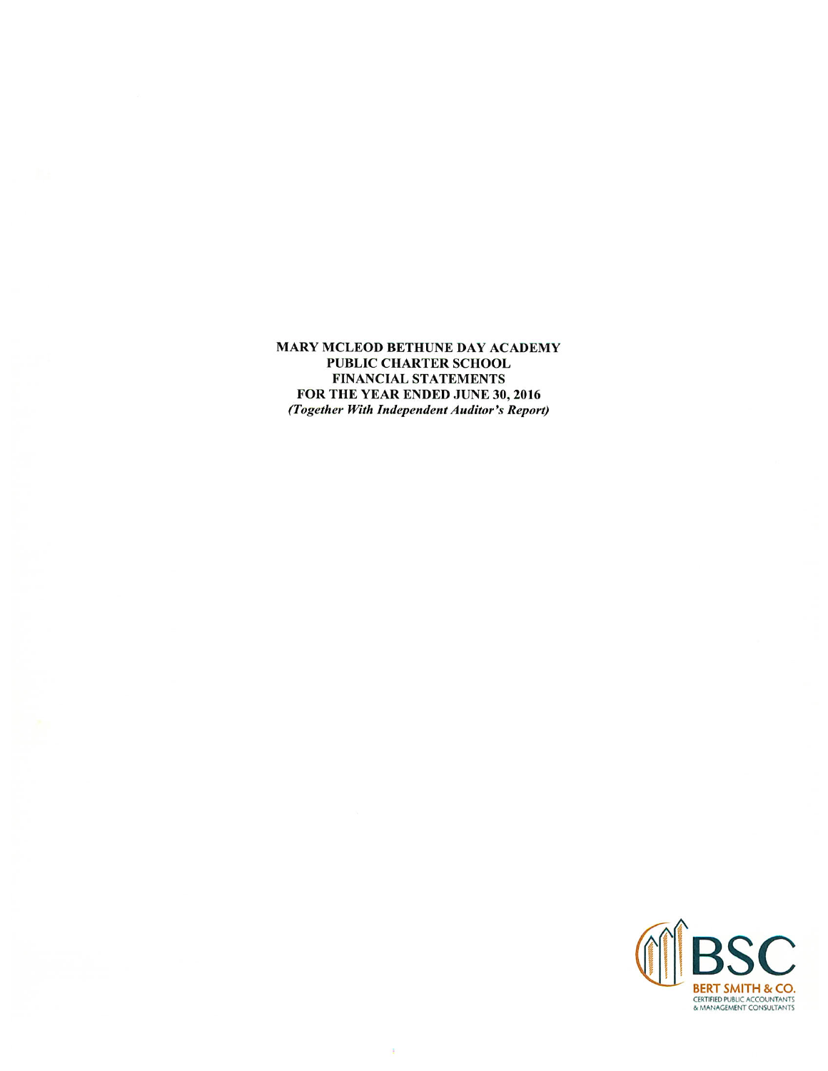MARY MCLEOD BETHUNE DAY ACADEMY PUBLIC CHARTER SCHOOL FINANCIAL STATEMENTS FOR THE YEAR ENDED JUNE 30, 2016 (Together With Independent Auditor's Report)

 $\frac{1}{4}$ 

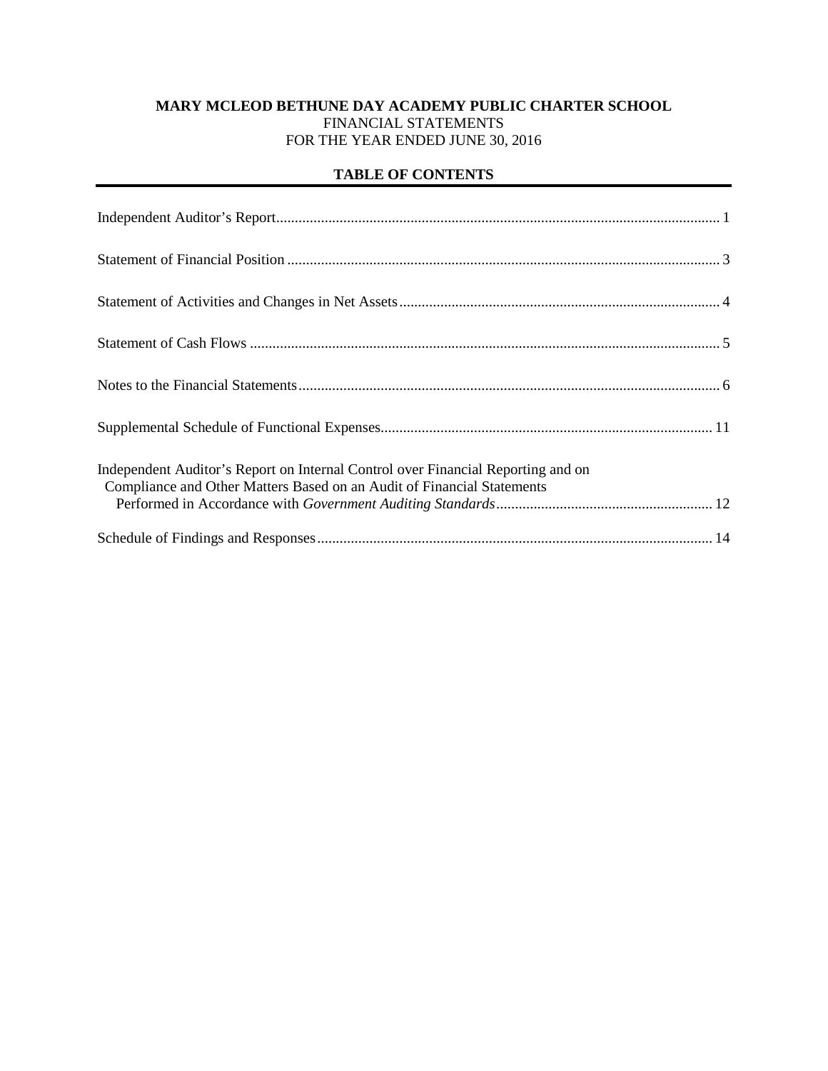# **MARY MCLEOD BETHUNE DAY ACADEMY PUBLIC CHARTER SCHOOL** FINANCIAL STATEMENTS FOR THE YEAR ENDED JUNE 30, 2016

# **TABLE OF CONTENTS**

| Independent Auditor's Report on Internal Control over Financial Reporting and on<br>Compliance and Other Matters Based on an Audit of Financial Statements |
|------------------------------------------------------------------------------------------------------------------------------------------------------------|
|                                                                                                                                                            |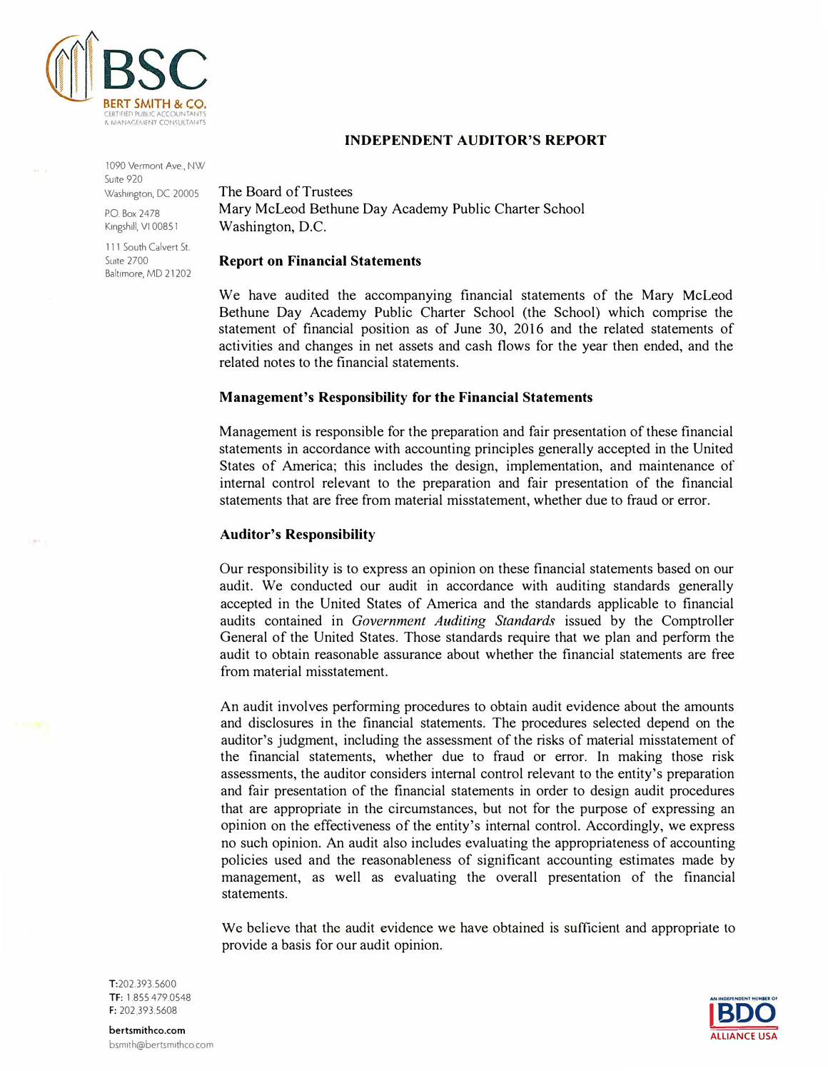

**INDEPENDENT AUDITOR'S REPORT** 

1090 Vermont Ave., NW Suite 920 Washington, DC 20005

P.O. Box 2478 Kingshill, VI 0085 1

111 South Calvert St. **Suite 2700** Baltimore, MD 21202 The Board of Trustees Mary McLeod Bethune Day Academy Public Charter School Washington, D.C.

#### **Report on Financial Statements**

We have audited the accompanying financial statements of the Mary McLeod Bethune Day Academy Public Charter School (the School) which comprise the statement of financial position as of June 30, 2016 and the related statements of activities and changes in net assets and cash flows for the year then ended, and the related notes to the financial statements.

### **Management's Responsibility for the Financial Statements**

Management is responsible for the preparation and fair presentation of these financial statements in accordance with accounting principles generally accepted in the United States of America; this includes the design, implementation, and maintenance of internal control relevant to the preparation and fair presentation of the financial statements that are free from material misstatement, whether due to fraud or error.

### **Auditor's Responsibility**

Our responsibility is to express an opinion on these financial statements based on our audit. We conducted our audit in accordance with auditing standards generally accepted in the United States of America and the standards applicable to financial audits contained in *Government Auditing Standards* issued by the Comptroller General of the United States. Those standards require that we plan and perform the audit to obtain reasonable assurance about whether the financial statements are free from material misstatement.

An audit involves performing procedures to obtain audit evidence about the amounts and disclosures in the financial statements. The procedures selected depend on the auditor's judgment, including the assessment of the risks of material misstatement of the financial statements, whether due to fraud or error. In making those risk assessments, the auditor considers internal control relevant to the entity's preparation and fair presentation of the financial statements in order to design audit procedures that are appropriate in the circumstances, but not for the purpose of expressing an opinion on the effectiveness of the entity's internal control. Accordingly, we express no such opinion. An audit also includes evaluating the appropriateness of accounting policies used and the reasonableness of significant accounting estimates made by management, as well as evaluating the overall presentation of the financial statements.

We believe that the audit evidence we have obtained is sufficient and appropriate to provide a basis for our audit opinion.



T:202.393.5600 TF: 1.855.479.0548 F: 202 393.5608

bertsmithco.com bsm1th@bertsm1thcocom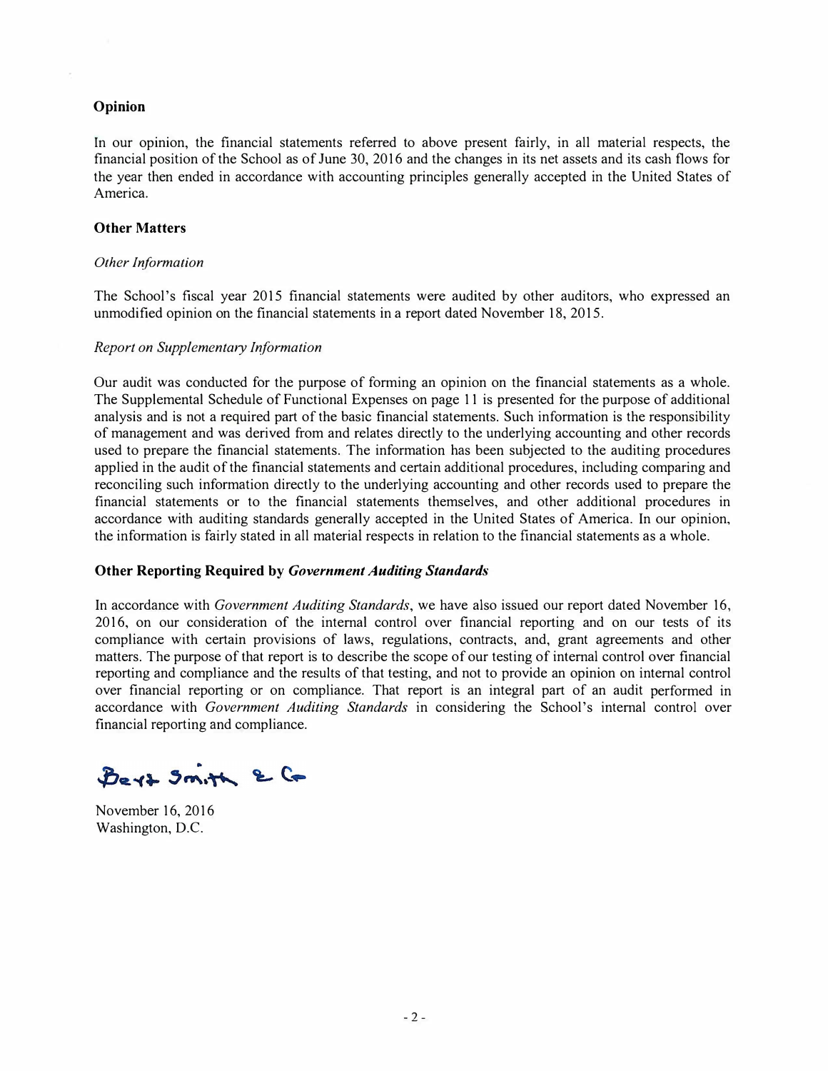### **Opinion**

In our opinion, the financial statements referred to above present fairly, in all material respects, the financial position of the School as of June 30, 2016 and the changes in its net assets and its cash flows for the year then ended in accordance with accounting principles generally accepted in the United States of America.

#### **Other Matters**

#### *Other Information*

The School's fiscal year 2015 financial statements were audited by other auditors, who expressed an unmodified opinion on the financial statements in a report dated November 18, 2015.

#### *Report on Supplementary Information*

Our audit was conducted for the purpose of forming an opinion on the financial statements as a whole. The Supplemental Schedule of Functional Expenses on page 11 is presented for the purpose of additional analysis and is not a required part of the basic financial statements. Such information is the responsibility of management and was derived from and relates directly to the underlying accounting and other records used to prepare the financial statements. The information has been subjected to the auditing procedures applied in the audit of the financial statements and certain additional procedures, including comparing and reconciling such information directly to the underlying accounting and other records used to prepare the financial statements or to the financial statements themselves, and other additional procedures in accordance with auditing standards generally accepted in the United States of America. In our opinion, the information is fairly stated in all material respects in relation to the financial statements as a whole.

#### **Other Reporting Required by** *Government Auditing Standards*

In accordance with *Government Auditing Standards,* we have also issued our report dated November 16, 2016, on our consideration of the internal control over financial reporting and on our tests of its compliance with certain provisions of laws, regulations, contracts, and, grant agreements and other matters. The purpose of that report is to describe the scope of our testing of internal control over financial reporting and compliance and the results of that testing, and not to provide an opinion on internal control over financial reporting or on compliance. That report is an integral part of an audit performed in accordance with *Government Auditing Standards* in considering the School's internal control over financial reporting and compliance.

Bert Smith & Co

November 16, 2016 Washington, D.C.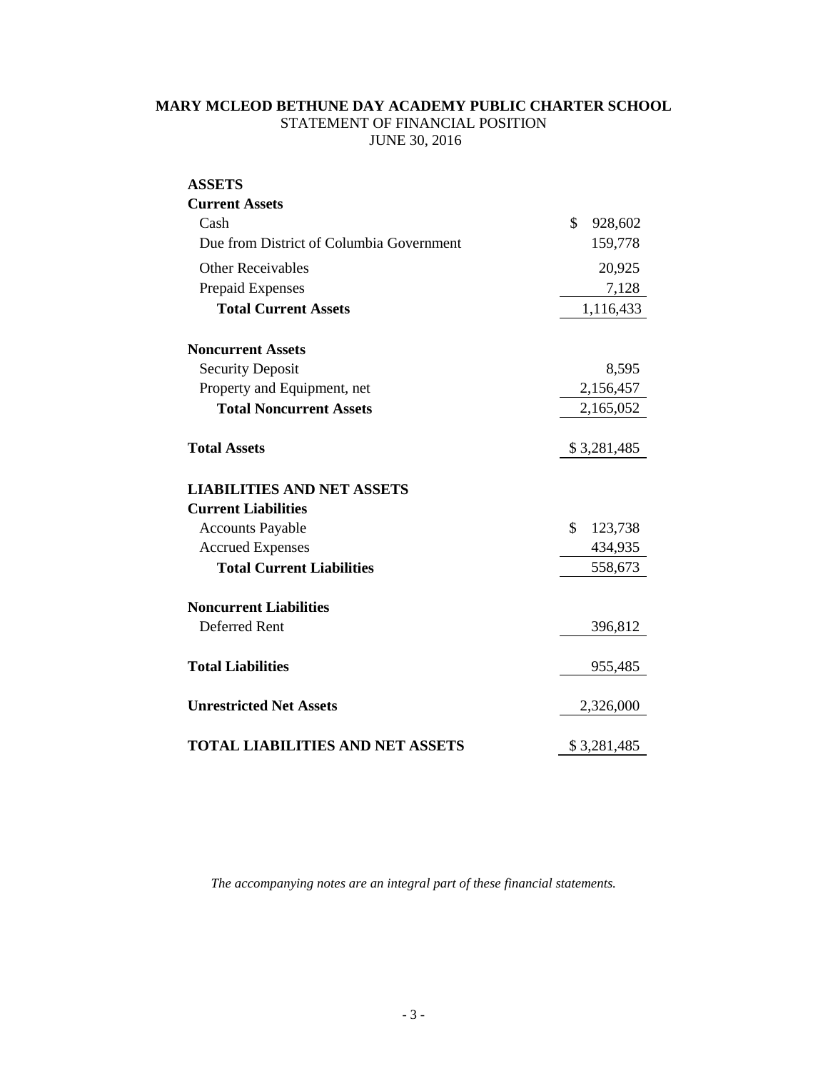# **MARY MCLEOD BETHUNE DAY ACADEMY PUBLIC CHARTER SCHOOL** STATEMENT OF FINANCIAL POSITION JUNE 30, 2016

| <b>ASSETS</b>                            |               |
|------------------------------------------|---------------|
| <b>Current Assets</b>                    |               |
| Cash                                     | \$<br>928,602 |
| Due from District of Columbia Government | 159,778       |
| <b>Other Receivables</b>                 | 20,925        |
| Prepaid Expenses                         | 7,128         |
| <b>Total Current Assets</b>              | 1,116,433     |
| <b>Noncurrent Assets</b>                 |               |
| <b>Security Deposit</b>                  | 8,595         |
| Property and Equipment, net              | 2,156,457     |
| <b>Total Noncurrent Assets</b>           | 2,165,052     |
| <b>Total Assets</b>                      | \$3,281,485   |
| <b>LIABILITIES AND NET ASSETS</b>        |               |
| <b>Current Liabilities</b>               |               |
| <b>Accounts Payable</b>                  | \$<br>123,738 |
| <b>Accrued Expenses</b>                  | 434,935       |
| <b>Total Current Liabilities</b>         | 558,673       |
| <b>Noncurrent Liabilities</b>            |               |
| <b>Deferred Rent</b>                     | 396,812       |
| <b>Total Liabilities</b>                 | 955,485       |
| <b>Unrestricted Net Assets</b>           | 2,326,000     |
| TOTAL LIABILITIES AND NET ASSETS         | \$3,281,485   |

*The accompanying notes are an integral part of these financial statements.*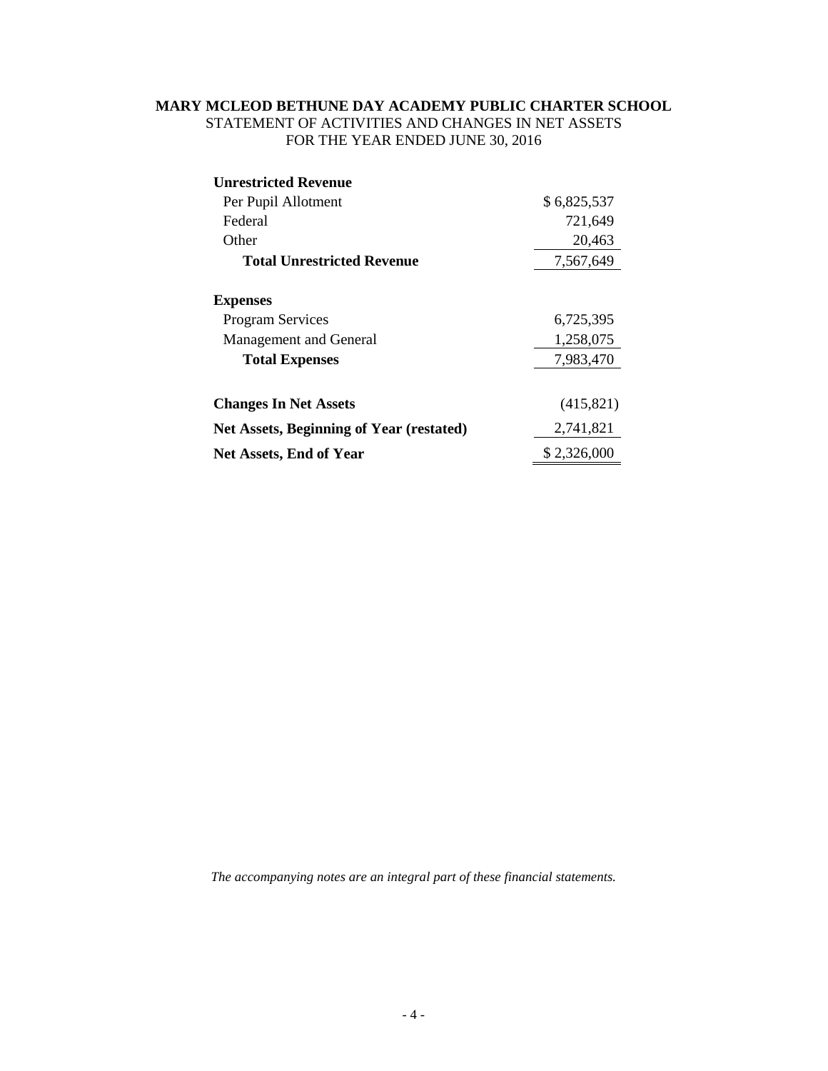# **MARY MCLEOD BETHUNE DAY ACADEMY PUBLIC CHARTER SCHOOL** STATEMENT OF ACTIVITIES AND CHANGES IN NET ASSETS FOR THE YEAR ENDED JUNE 30, 2016

| <b>Unrestricted Revenue</b>                     |             |
|-------------------------------------------------|-------------|
| Per Pupil Allotment                             | \$6,825,537 |
| Federal                                         | 721,649     |
| Other                                           | 20,463      |
| <b>Total Unrestricted Revenue</b>               | 7,567,649   |
| <b>Expenses</b>                                 |             |
| <b>Program Services</b>                         | 6,725,395   |
| Management and General                          | 1,258,075   |
| <b>Total Expenses</b>                           | 7,983,470   |
|                                                 |             |
| <b>Changes In Net Assets</b>                    | (415, 821)  |
| <b>Net Assets, Beginning of Year (restated)</b> | 2,741,821   |
| <b>Net Assets, End of Year</b>                  | \$2,326,000 |

*The accompanying notes are an integral part of these financial statements.*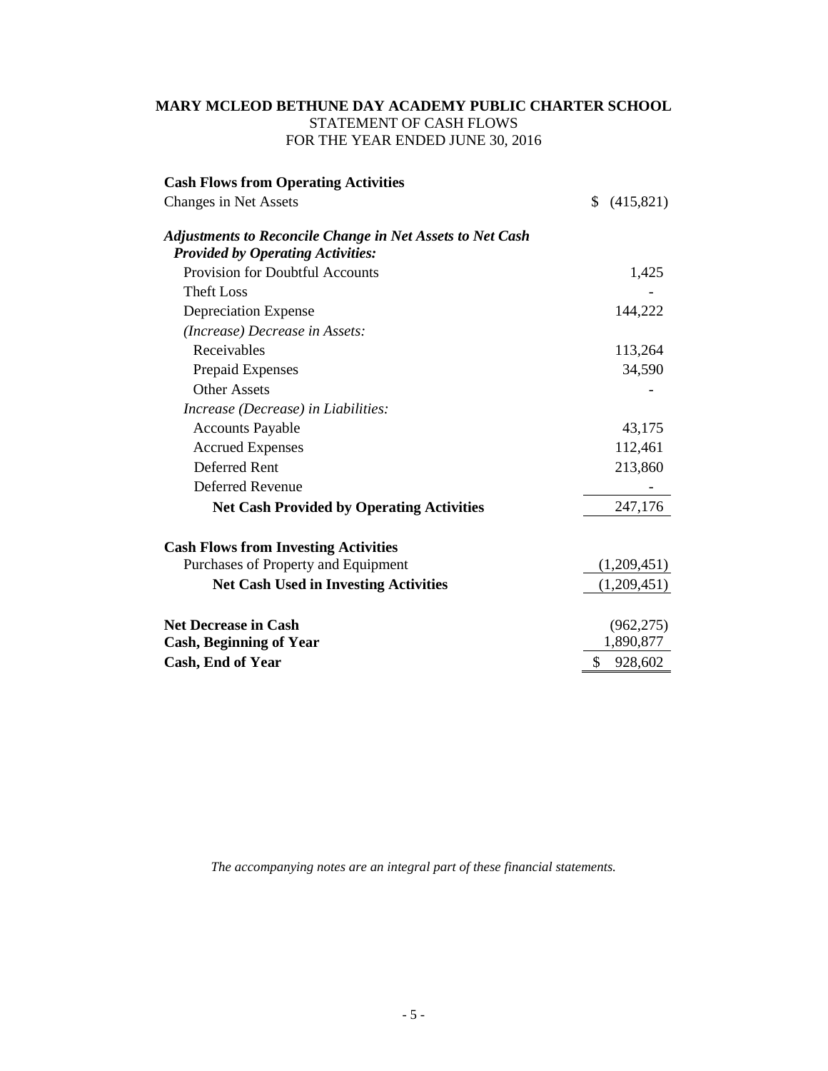# **MARY MCLEOD BETHUNE DAY ACADEMY PUBLIC CHARTER SCHOOL** STATEMENT OF CASH FLOWS FOR THE YEAR ENDED JUNE 30, 2016

| <b>Cash Flows from Operating Activities</b>                                                                  |                 |
|--------------------------------------------------------------------------------------------------------------|-----------------|
| Changes in Net Assets                                                                                        | \$<br>(415,821) |
| <b>Adjustments to Reconcile Change in Net Assets to Net Cash</b><br><b>Provided by Operating Activities:</b> |                 |
| Provision for Doubtful Accounts                                                                              | 1,425           |
| <b>Theft Loss</b>                                                                                            |                 |
| Depreciation Expense                                                                                         | 144,222         |
| (Increase) Decrease in Assets:                                                                               |                 |
| Receivables                                                                                                  | 113,264         |
| Prepaid Expenses                                                                                             | 34,590          |
| <b>Other Assets</b>                                                                                          |                 |
| Increase (Decrease) in Liabilities:                                                                          |                 |
| <b>Accounts Payable</b>                                                                                      | 43,175          |
| <b>Accrued Expenses</b>                                                                                      | 112,461         |
| Deferred Rent                                                                                                | 213,860         |
| Deferred Revenue                                                                                             |                 |
| <b>Net Cash Provided by Operating Activities</b>                                                             | 247,176         |
| <b>Cash Flows from Investing Activities</b>                                                                  |                 |
| Purchases of Property and Equipment                                                                          | (1,209,451)     |
| <b>Net Cash Used in Investing Activities</b>                                                                 | (1,209,451)     |
| <b>Net Decrease in Cash</b>                                                                                  | (962, 275)      |
| <b>Cash, Beginning of Year</b>                                                                               | 1,890,877       |
| <b>Cash, End of Year</b>                                                                                     | \$<br>928,602   |

*The accompanying notes are an integral part of these financial statements.*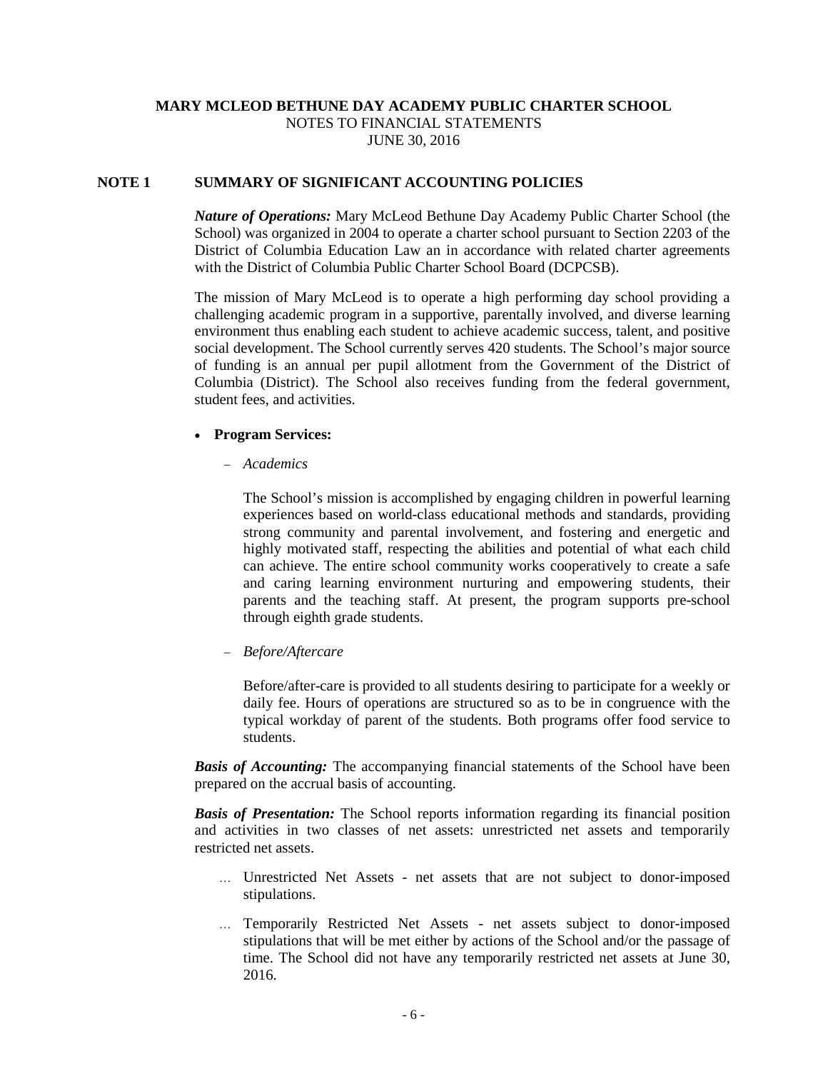# **MARY MCLEOD BETHUNE DAY ACADEMY PUBLIC CHARTER SCHOOL** NOTES TO FINANCIAL STATEMENTS JUNE 30, 2016

## **NOTE 1 SUMMARY OF SIGNIFICANT ACCOUNTING POLICIES**

*Nature of Operations:* Mary McLeod Bethune Day Academy Public Charter School (the School) was organized in 2004 to operate a charter school pursuant to Section 2203 of the District of Columbia Education Law an in accordance with related charter agreements with the District of Columbia Public Charter School Board (DCPCSB).

The mission of Mary McLeod is to operate a high performing day school providing a challenging academic program in a supportive, parentally involved, and diverse learning environment thus enabling each student to achieve academic success, talent, and positive social development. The School currently serves 420 students. The School's major source of funding is an annual per pupil allotment from the Government of the District of Columbia (District). The School also receives funding from the federal government, student fees, and activities.

### • **Program Services:**

− *Academics*

The School's mission is accomplished by engaging children in powerful learning experiences based on world-class educational methods and standards, providing strong community and parental involvement, and fostering and energetic and highly motivated staff, respecting the abilities and potential of what each child can achieve. The entire school community works cooperatively to create a safe and caring learning environment nurturing and empowering students, their parents and the teaching staff. At present, the program supports pre-school through eighth grade students.

− *Before/Aftercare*

Before/after-care is provided to all students desiring to participate for a weekly or daily fee. Hours of operations are structured so as to be in congruence with the typical workday of parent of the students. Both programs offer food service to students.

*Basis of Accounting:* The accompanying financial statements of the School have been prepared on the accrual basis of accounting.

*Basis of Presentation:* The School reports information regarding its financial position and activities in two classes of net assets: unrestricted net assets and temporarily restricted net assets.

- … Unrestricted Net Assets net assets that are not subject to donor-imposed stipulations.
- … Temporarily Restricted Net Assets net assets subject to donor-imposed stipulations that will be met either by actions of the School and/or the passage of time. The School did not have any temporarily restricted net assets at June 30, 2016.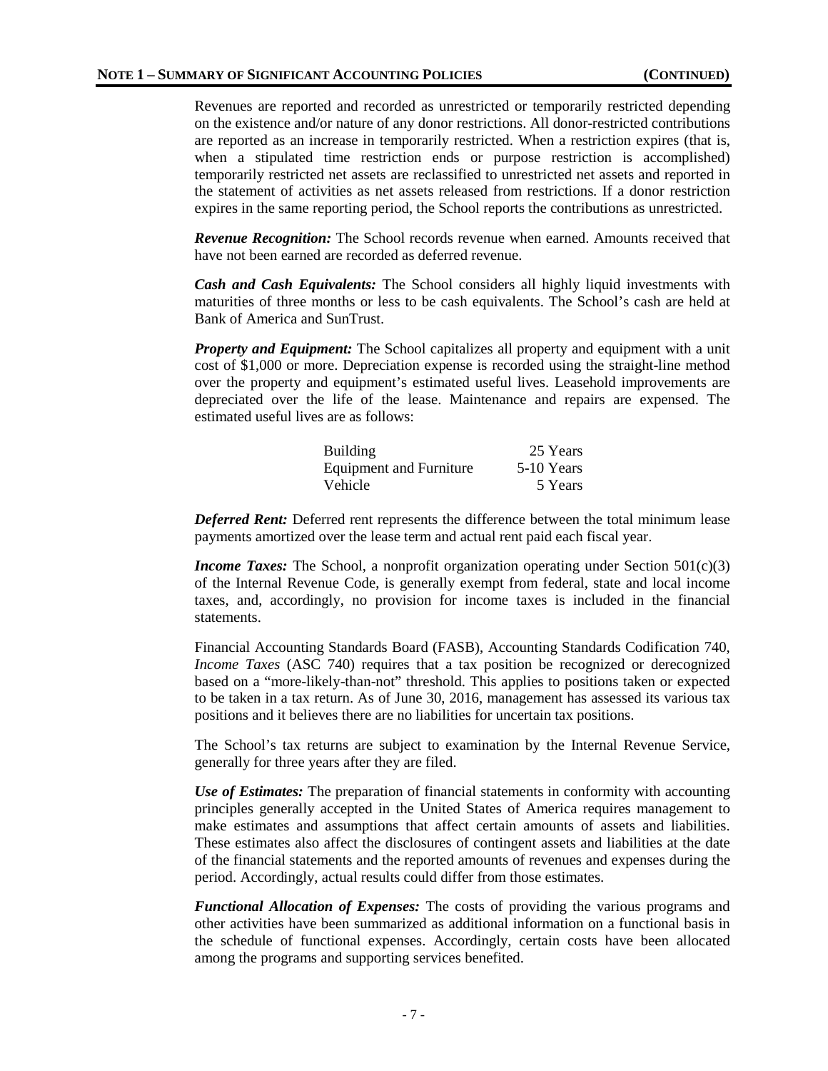Revenues are reported and recorded as unrestricted or temporarily restricted depending on the existence and/or nature of any donor restrictions. All donor-restricted contributions are reported as an increase in temporarily restricted. When a restriction expires (that is, when a stipulated time restriction ends or purpose restriction is accomplished) temporarily restricted net assets are reclassified to unrestricted net assets and reported in the statement of activities as net assets released from restrictions. If a donor restriction expires in the same reporting period, the School reports the contributions as unrestricted.

*Revenue Recognition:* The School records revenue when earned. Amounts received that have not been earned are recorded as deferred revenue.

*Cash and Cash Equivalents:* The School considers all highly liquid investments with maturities of three months or less to be cash equivalents. The School's cash are held at Bank of America and SunTrust.

*Property and Equipment:* The School capitalizes all property and equipment with a unit cost of \$1,000 or more. Depreciation expense is recorded using the straight-line method over the property and equipment's estimated useful lives. Leasehold improvements are depreciated over the life of the lease. Maintenance and repairs are expensed. The estimated useful lives are as follows:

| <b>Building</b>                | 25 Years   |
|--------------------------------|------------|
| <b>Equipment and Furniture</b> | 5-10 Years |
| Vehicle                        | 5 Years    |

*Deferred Rent:* Deferred rent represents the difference between the total minimum lease payments amortized over the lease term and actual rent paid each fiscal year.

*Income Taxes:* The School, a nonprofit organization operating under Section 501(c)(3) of the Internal Revenue Code, is generally exempt from federal, state and local income taxes, and, accordingly, no provision for income taxes is included in the financial statements.

Financial Accounting Standards Board (FASB), Accounting Standards Codification 740, *Income Taxes* (ASC 740) requires that a tax position be recognized or derecognized based on a "more-likely-than-not" threshold. This applies to positions taken or expected to be taken in a tax return. As of June 30, 2016, management has assessed its various tax positions and it believes there are no liabilities for uncertain tax positions.

The School's tax returns are subject to examination by the Internal Revenue Service, generally for three years after they are filed.

*Use of Estimates:* The preparation of financial statements in conformity with accounting principles generally accepted in the United States of America requires management to make estimates and assumptions that affect certain amounts of assets and liabilities. These estimates also affect the disclosures of contingent assets and liabilities at the date of the financial statements and the reported amounts of revenues and expenses during the period. Accordingly, actual results could differ from those estimates.

*Functional Allocation of Expenses:* The costs of providing the various programs and other activities have been summarized as additional information on a functional basis in the schedule of functional expenses. Accordingly, certain costs have been allocated among the programs and supporting services benefited.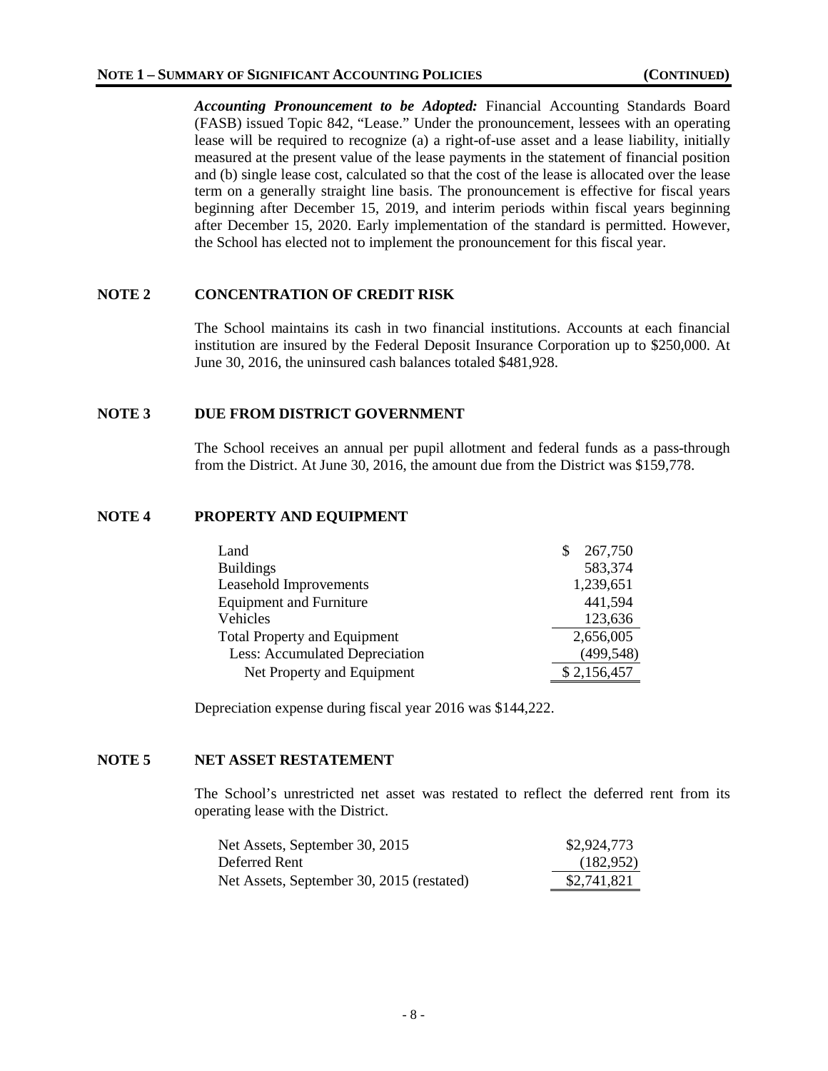*Accounting Pronouncement to be Adopted:* Financial Accounting Standards Board (FASB) issued Topic 842, "Lease." Under the pronouncement, lessees with an operating lease will be required to recognize (a) a right-of-use asset and a lease liability, initially measured at the present value of the lease payments in the statement of financial position and (b) single lease cost, calculated so that the cost of the lease is allocated over the lease term on a generally straight line basis. The pronouncement is effective for fiscal years beginning after December 15, 2019, and interim periods within fiscal years beginning after December 15, 2020. Early implementation of the standard is permitted. However, the School has elected not to implement the pronouncement for this fiscal year.

# **NOTE 2 CONCENTRATION OF CREDIT RISK**

The School maintains its cash in two financial institutions. Accounts at each financial institution are insured by the Federal Deposit Insurance Corporation up to \$250,000. At June 30, 2016, the uninsured cash balances totaled \$481,928.

## **NOTE 3 DUE FROM DISTRICT GOVERNMENT**

The School receives an annual per pupil allotment and federal funds as a pass-through from the District. At June 30, 2016, the amount due from the District was \$159,778.

## **NOTE 4 PROPERTY AND EQUIPMENT**

| Land                                | 267,750     |
|-------------------------------------|-------------|
| <b>Buildings</b>                    | 583,374     |
| Leasehold Improvements              | 1,239,651   |
| <b>Equipment and Furniture</b>      | 441,594     |
| Vehicles                            | 123,636     |
| <b>Total Property and Equipment</b> | 2,656,005   |
| Less: Accumulated Depreciation      | (499, 548)  |
| Net Property and Equipment          | \$2,156,457 |

Depreciation expense during fiscal year 2016 was \$144,222.

# **NOTE 5 NET ASSET RESTATEMENT**

The School's unrestricted net asset was restated to reflect the deferred rent from its operating lease with the District.

| Net Assets, September 30, 2015            | \$2,924,773 |
|-------------------------------------------|-------------|
| Deferred Rent                             | (182, 952)  |
| Net Assets, September 30, 2015 (restated) | \$2,741,821 |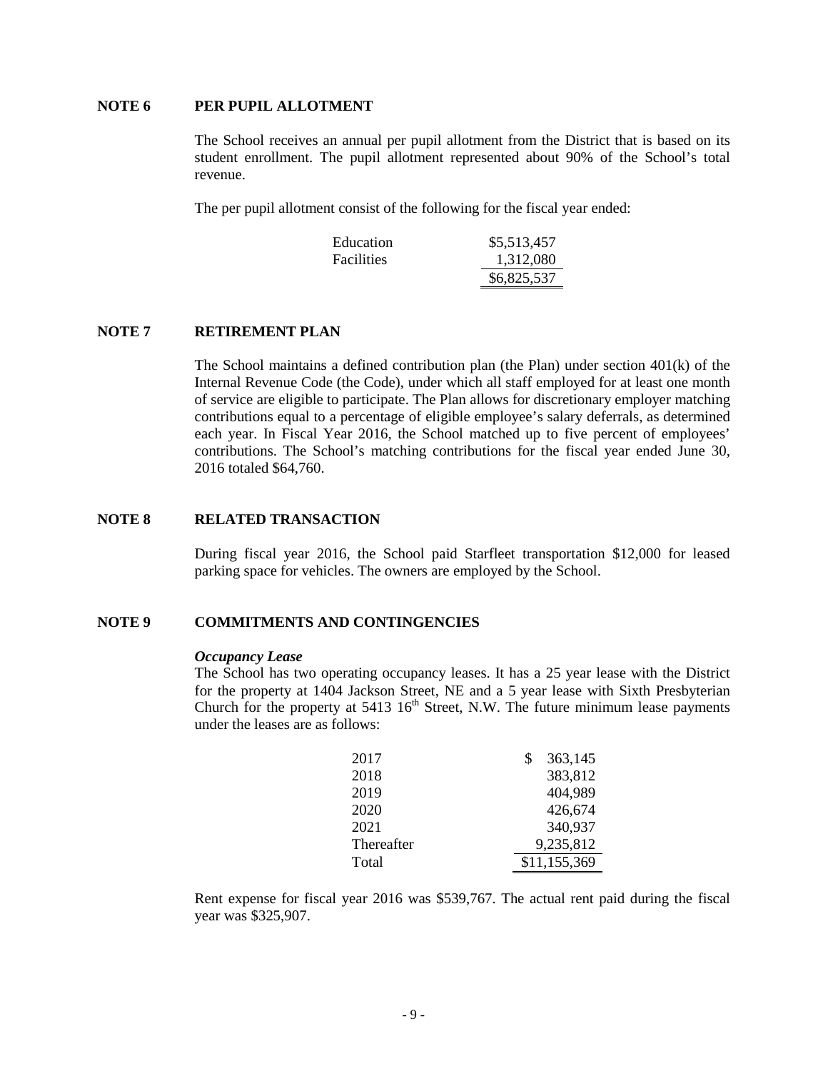## **NOTE 6 PER PUPIL ALLOTMENT**

The School receives an annual per pupil allotment from the District that is based on its student enrollment. The pupil allotment represented about 90% of the School's total revenue.

The per pupil allotment consist of the following for the fiscal year ended:

| Education         | \$5,513,457 |
|-------------------|-------------|
| <b>Facilities</b> | 1,312,080   |
|                   | \$6,825,537 |

### **NOTE 7 RETIREMENT PLAN**

The School maintains a defined contribution plan (the Plan) under section 401(k) of the Internal Revenue Code (the Code), under which all staff employed for at least one month of service are eligible to participate. The Plan allows for discretionary employer matching contributions equal to a percentage of eligible employee's salary deferrals, as determined each year. In Fiscal Year 2016, the School matched up to five percent of employees' contributions. The School's matching contributions for the fiscal year ended June 30, 2016 totaled \$64,760.

#### **NOTE 8 RELATED TRANSACTION**

During fiscal year 2016, the School paid Starfleet transportation \$12,000 for leased parking space for vehicles. The owners are employed by the School.

#### **NOTE 9 COMMITMENTS AND CONTINGENCIES**

#### *Occupancy Lease*

The School has two operating occupancy leases. It has a 25 year lease with the District for the property at 1404 Jackson Street, NE and a 5 year lease with Sixth Presbyterian Church for the property at  $5413 \, 16^{th}$  Street, N.W. The future minimum lease payments under the leases are as follows:

| 2017       | 363,145      |
|------------|--------------|
| 2018       | 383,812      |
| 2019       | 404,989      |
| 2020       | 426,674      |
| 2021       | 340,937      |
| Thereafter | 9,235,812    |
| Total      | \$11,155,369 |

Rent expense for fiscal year 2016 was \$539,767. The actual rent paid during the fiscal year was \$325,907.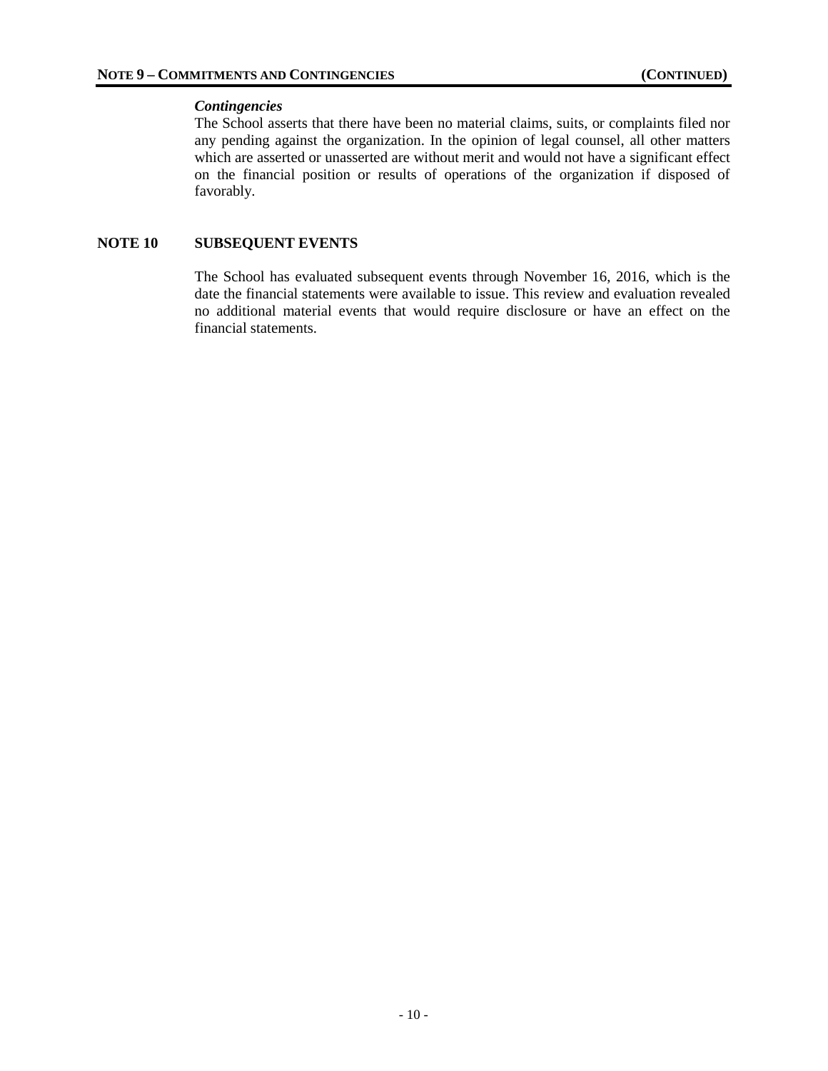## *Contingencies*

The School asserts that there have been no material claims, suits, or complaints filed nor any pending against the organization. In the opinion of legal counsel, all other matters which are asserted or unasserted are without merit and would not have a significant effect on the financial position or results of operations of the organization if disposed of favorably.

# **NOTE 10 SUBSEQUENT EVENTS**

The School has evaluated subsequent events through November 16, 2016, which is the date the financial statements were available to issue. This review and evaluation revealed no additional material events that would require disclosure or have an effect on the financial statements.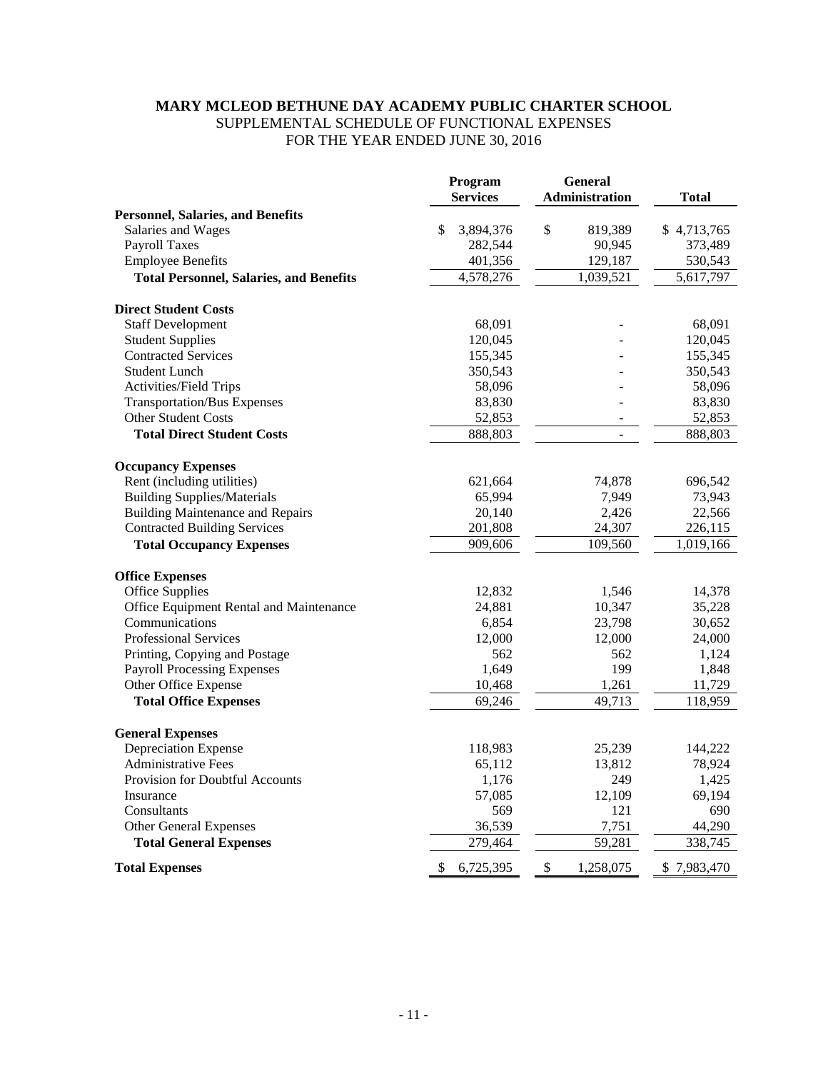# **MARY MCLEOD BETHUNE DAY ACADEMY PUBLIC CHARTER SCHOOL** SUPPLEMENTAL SCHEDULE OF FUNCTIONAL EXPENSES FOR THE YEAR ENDED JUNE 30, 2016

|                                                | Program<br><b>Services</b> | <b>General</b><br><b>Administration</b> | <b>Total</b> |
|------------------------------------------------|----------------------------|-----------------------------------------|--------------|
| <b>Personnel, Salaries, and Benefits</b>       |                            |                                         |              |
| Salaries and Wages                             | \$<br>3,894,376            | \$<br>819,389                           | \$4,713,765  |
| <b>Payroll Taxes</b>                           | 282,544                    | 90,945                                  | 373,489      |
| <b>Employee Benefits</b>                       | 401,356                    | 129,187                                 | 530,543      |
| <b>Total Personnel, Salaries, and Benefits</b> | 4,578,276                  | 1,039,521                               | 5,617,797    |
| <b>Direct Student Costs</b>                    |                            |                                         |              |
| <b>Staff Development</b>                       | 68,091                     |                                         | 68,091       |
| <b>Student Supplies</b>                        | 120,045                    |                                         | 120,045      |
| <b>Contracted Services</b>                     | 155,345                    |                                         | 155,345      |
| <b>Student Lunch</b>                           | 350,543                    |                                         | 350,543      |
| Activities/Field Trips                         | 58,096                     |                                         | 58,096       |
| <b>Transportation/Bus Expenses</b>             | 83,830                     |                                         | 83,830       |
| <b>Other Student Costs</b>                     | 52,853                     |                                         | 52,853       |
| <b>Total Direct Student Costs</b>              | 888,803                    |                                         | 888,803      |
| <b>Occupancy Expenses</b>                      |                            |                                         |              |
| Rent (including utilities)                     | 621,664                    | 74,878                                  | 696,542      |
| <b>Building Supplies/Materials</b>             | 65,994                     | 7,949                                   | 73,943       |
| <b>Building Maintenance and Repairs</b>        | 20,140                     | 2,426                                   | 22,566       |
| <b>Contracted Building Services</b>            | 201,808                    | 24,307                                  | 226,115      |
| <b>Total Occupancy Expenses</b>                | 909,606                    | 109,560                                 | 1,019,166    |
| <b>Office Expenses</b>                         |                            |                                         |              |
| <b>Office Supplies</b>                         | 12,832                     | 1,546                                   | 14,378       |
| Office Equipment Rental and Maintenance        | 24,881                     | 10,347                                  | 35,228       |
| Communications                                 | 6,854                      | 23,798                                  | 30,652       |
| <b>Professional Services</b>                   | 12,000                     | 12,000                                  | 24,000       |
| Printing, Copying and Postage                  | 562                        | 562                                     | 1,124        |
| <b>Payroll Processing Expenses</b>             | 1,649                      | 199                                     | 1,848        |
| Other Office Expense                           | 10,468                     | 1,261                                   | 11,729       |
| <b>Total Office Expenses</b>                   | 69,246                     | 49,713                                  | 118,959      |
| <b>General Expenses</b>                        |                            |                                         |              |
| Depreciation Expense                           | 118,983                    | 25,239                                  | 144,222      |
| <b>Administrative Fees</b>                     | 65,112                     | 13,812                                  | 78,924       |
| Provision for Doubtful Accounts                | 1,176                      | 249                                     | 1,425        |
| Insurance                                      | 57,085                     | 12,109                                  | 69,194       |
| Consultants                                    | 569                        | 121                                     | 690          |
| Other General Expenses                         | 36,539                     | 7,751                                   | 44,290       |
| <b>Total General Expenses</b>                  | 279,464                    | 59,281                                  | 338,745      |
| <b>Total Expenses</b>                          | \$<br>6,725,395            | \$<br>1,258,075                         | \$7,983,470  |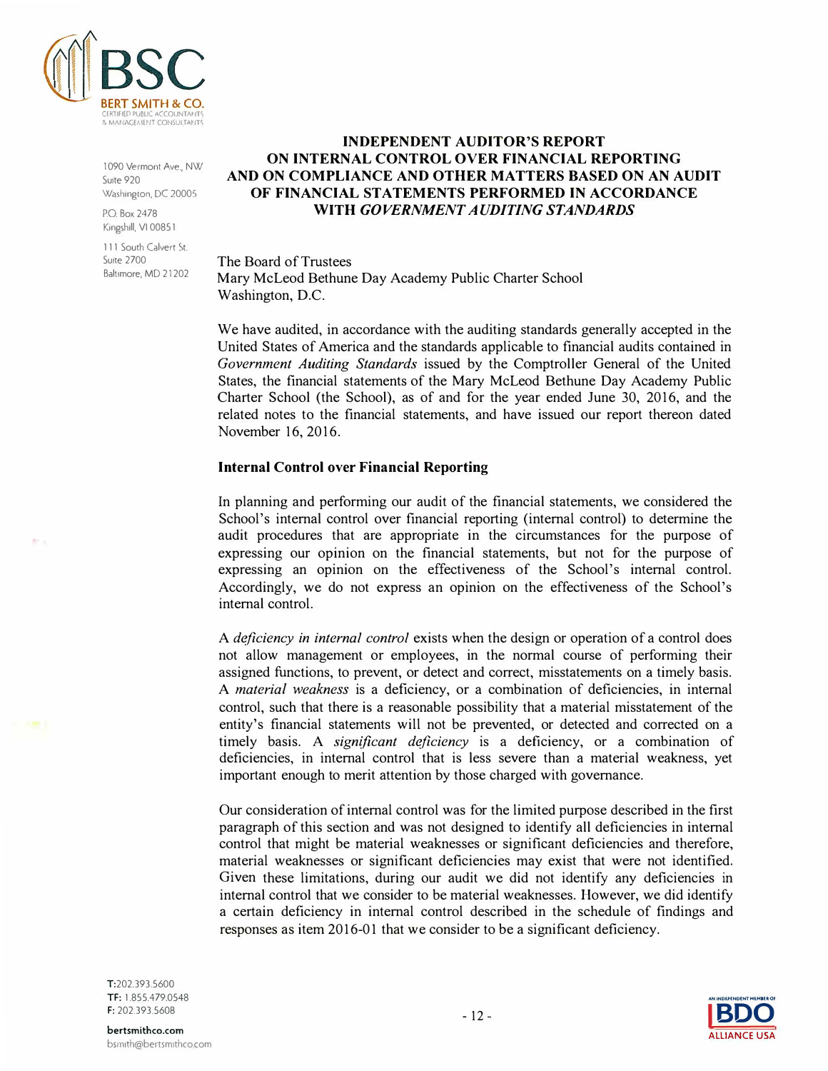

1090 Vermont Ave., NW Suite 920 Washington, DC 20005

P.O. Box2478 Kingshill, VI 00851

111 South Calvert St. Suite 2700 Baltimore, MD 21202

# **INDEPENDENT AUDITOR'S REPORT ON INTERNAL CONTROL OVER FINANCIAL REPORTING AND ON COMPLIANCE AND OTHER MATTERS BASED ON AN AUDIT OF FINANCIAL STATEMENTS PERFORMED IN ACCORDANCE WITH** *GOVERNMENT AUDITING STANDARDS*

The Board of Trustees Mary McLeod Bethune Day Academy Public Charter School Washington, D.C.

We have audited, in accordance with the auditing standards generally accepted in the United States of America and the standards applicable to financial audits contained in *Government Auditing Standards* issued by the Comptroller General of the United States, the financial statements of the Mary McLeod Bethune Day Academy Public Charter School (the School), as of and for the year ended June 30, 2016, and the related notes to the financial statements, and have issued our report thereon dated November 16, 2016.

## **Internal Control over Financial Reporting**

In planning and performing our audit of the financial statements, we considered the School's internal control over financial reporting (internal control) to determine the audit procedures that are appropriate in the circumstances for the purpose of expressing our opinion on the financial statements, but not for the purpose of expressing an opinion on the effectiveness of the School's internal control. Accordingly, we do not express an opinion on the effectiveness of the School's internal control.

A *deficiency in internal control* exists when the design or operation of a control does not allow management or employees, in the normal course of performing their assigned functions, to prevent, or detect and correct, misstatements on a timely basis. A *material weakness* is a deficiency, or a combination of deficiencies, in internal control, such that there is a reasonable possibility that a material misstatement of the entity's financial statements will not be prevented, or detected and corrected on a timely basis. A *significant deficiency* is a deficiency, or a combination of deficiencies, in internal control that is less severe than a material weakness, yet important enough to merit attention by those charged with governance.

Our consideration of internal control was for the limited purpose described in the first paragraph of this section and was not designed to identify all deficiencies in internal control that might be material weaknesses or significant deficiencies and therefore, material weaknesses or significant deficiencies may exist that were not identified. Given these limitations, during our audit we did not identify any deficiencies in internal control that we consider to be material weaknesses. However, we did identify a certain deficiency in internal control described in the schedule of findings and responses as item 2016-01 that we consider to be a significant deficiency.

T:202.393.5600 TF: 1.855.479.0548 F: 202.393.5608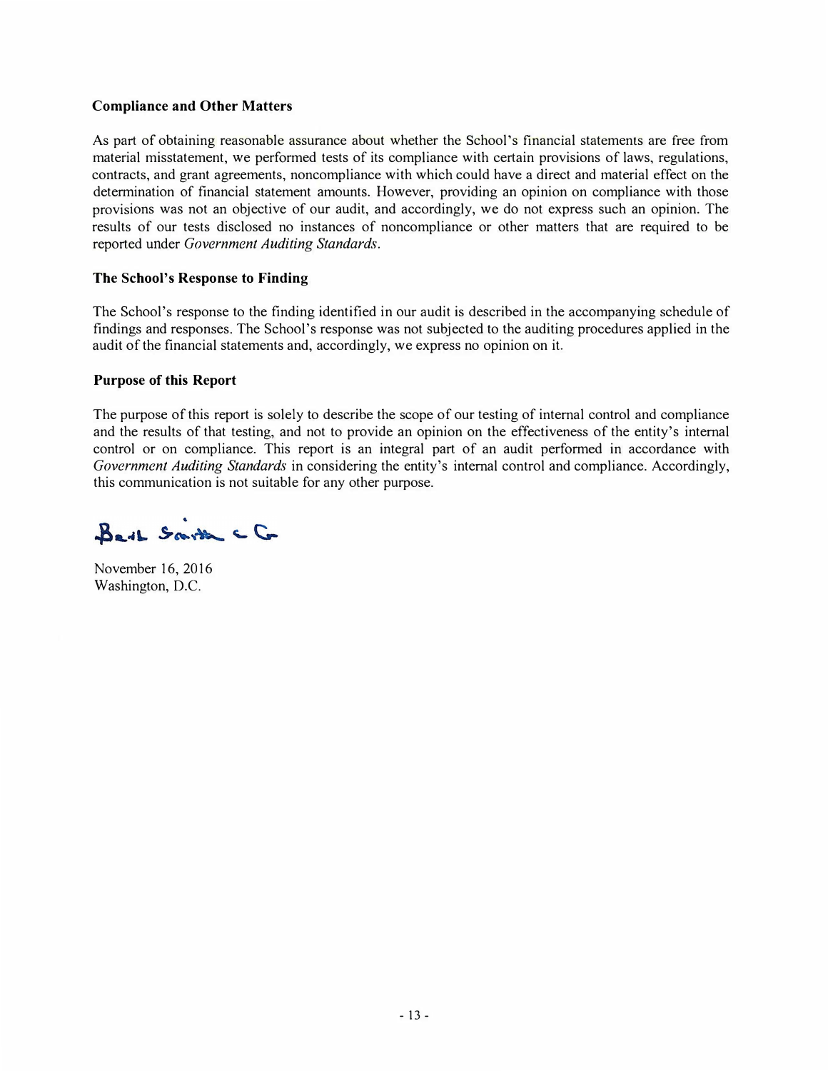# **Compliance and Other Matters**

As part of obtaining reasonable assurance about whether the School's financial statements are free from material misstatement, we performed tests of its compliance with certain provisions of laws, regulations, contracts, and grant agreements, noncompliance with which could have a direct and material effect on the determination of financial statement amounts. However, providing an opinion on compliance with those provisions was not an objective of our audit, and accordingly, we do not express such an opinion. The results of our tests disclosed no instances of noncompliance or other matters that are required to be reported under *Government Auditing Standards.* 

## **The School's Response to Finding**

The School's response to the finding identified in our audit is described in the accompanying schedule of findings and responses. The School's response was not subjected to the auditing procedures applied in the audit of the financial statements and, accordingly, we express no opinion on it.

## **Purpose of this Report**

The purpose of this report is solely to describe the scope of our testing of internal control and compliance and the results of that testing, and not to provide an opinion on the effectiveness of the entity's internal control or on compliance. This report is an integral part of an audit performed in accordance with *Government Auditing Standards* in considering the entity's internal control and compliance. Accordingly, this communication is not suitable for any other purpose.

Bert Smith CG

November 16, 2016 Washington, D.C.